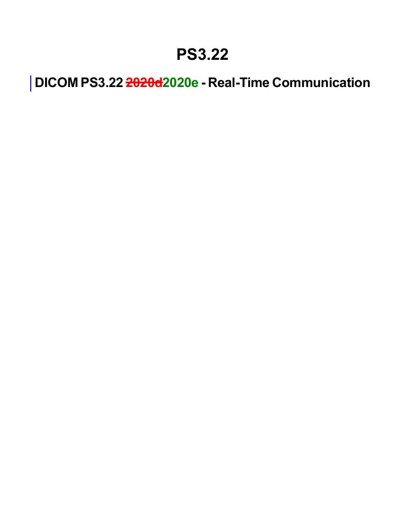### **PS3.22**

**DICOM PS3.22 2020d2020e - Real-Time Communication**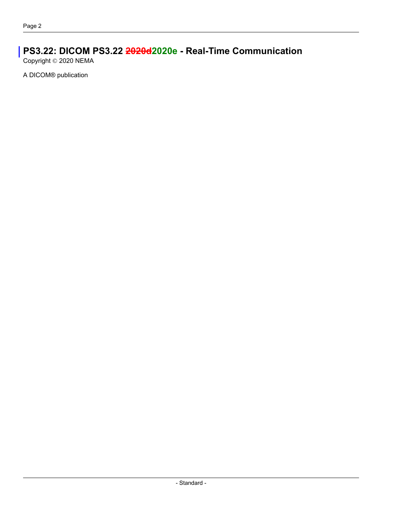### **PS3.22: DICOM PS3.22 2020d2020e - Real-Time Communication**

Copyright © 2020 NEMA

A DICOM® publication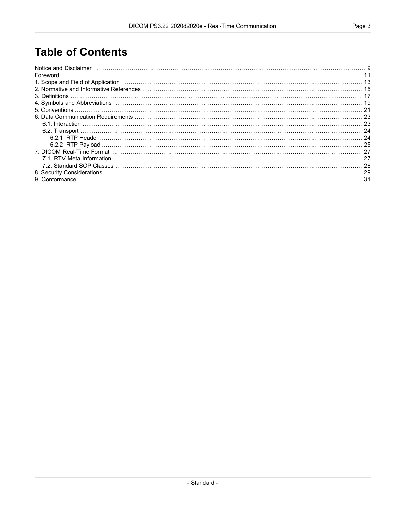#### **Table of Contents**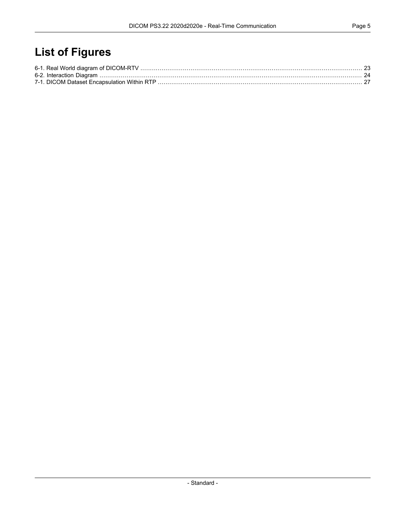### **List of Figures**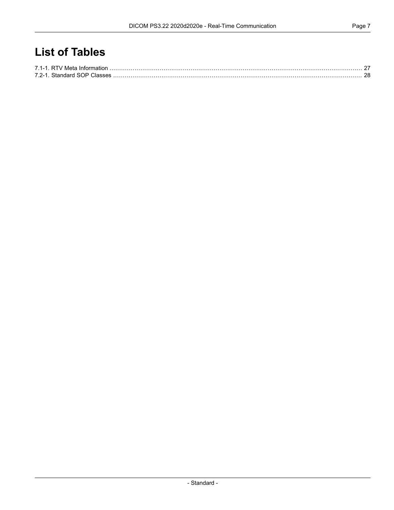#### **List of Tables**

| 7.2-1 Standard SOP Classes |  |
|----------------------------|--|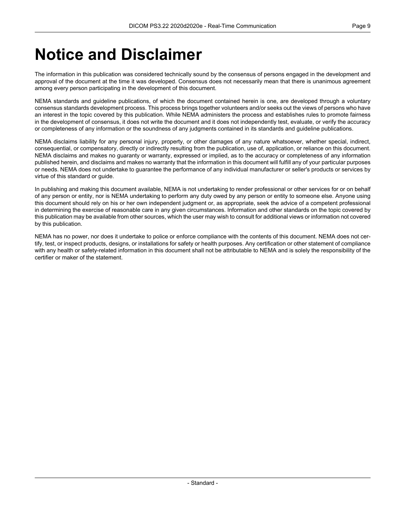### <span id="page-8-0"></span>**Notice and Disclaimer**

The information in this publication was considered technically sound by the consensus of persons engaged in the development and approval of the document at the time it was developed. Consensus does not necessarily mean that there is unanimous agreement among every person participating in the development of this document.

NEMA standards and guideline publications, of which the document contained herein is one, are developed through a voluntary consensus standards development process. This process brings together volunteers and/or seeks out the views of persons who have an interest in the topic covered by this publication. While NEMA administers the process and establishes rules to promote fairness in the development of consensus, it does not write the document and it does not independently test, evaluate, or verify the accuracy or completeness of any information or the soundness of any judgments contained in its standards and guideline publications.

NEMA disclaims liability for any personal injury, property, or other damages of any nature whatsoever, whether special, indirect, consequential, or compensatory, directly or indirectly resulting from the publication, use of, application, or reliance on this document. NEMA disclaims and makes no guaranty or warranty, expressed or implied, as to the accuracy or completeness of any information published herein, and disclaims and makes no warranty that the information in this document will fulfill any of your particular purposes or needs. NEMA does not undertake to guarantee the performance of any individual manufacturer or seller's products or services by virtue of this standard or guide.

In publishing and making this document available, NEMA is not undertaking to render professional or other services for or on behalf of any person or entity, nor is NEMA undertaking to perform any duty owed by any person or entity to someone else. Anyone using this document should rely on his or her own independent judgment or, as appropriate, seek the advice of a competent professional in determining the exercise of reasonable care in any given circumstances. Information and other standards on the topic covered by this publication may be available from other sources, which the user may wish to consult for additional views or information not covered by this publication.

NEMA has no power, nor does it undertake to police or enforce compliance with the contents of this document. NEMA does not cer tify, test, or inspect products, designs, or installations for safety or health purposes. Any certification or other statement of compliance with any health or safety-related information in this document shall not be attributable to NEMA and is solely the responsibility of the certifier or maker of the statement.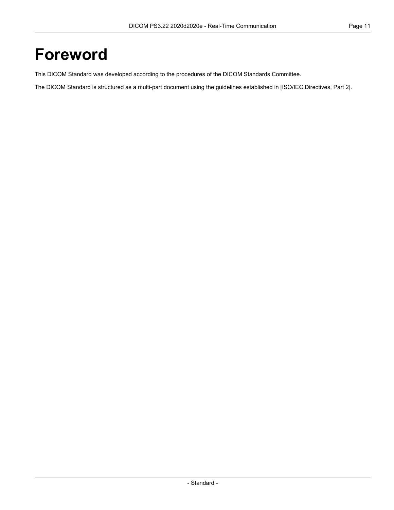### <span id="page-10-0"></span>**Foreword**

This DICOM Standard was developed according to the procedures of the DICOM Standards Committee.

The DICOM Standard is structured as a multi-part document using the guidelines established in [ISO/IEC [Directives,](#page-14-1) Part 2].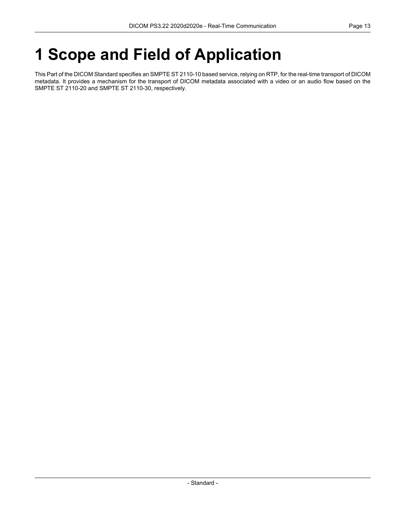# <span id="page-12-0"></span>**1 Scope and Field of Application**

This Part of the DICOM Standard specifies an SMPTE ST 2110-10 based service, relying on RTP, for the real-time transport of DICOM metadata. It provides a mechanism for the transport of DICOM metadata associated with a video or an audio flow based on the SMPTE ST 2110-20 and SMPTE ST 2110-30, respectively.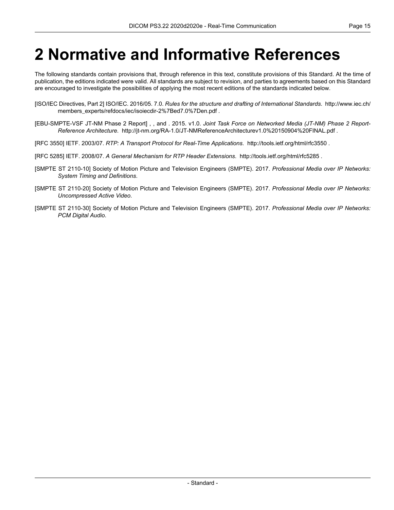## <span id="page-14-0"></span>**2 Normative and Informative References**

The following standards contain provisions that, through reference in this text, constitute provisions of this Standard. At the time of publication, the editions indicated were valid. All standards are subject to revision, and parties to agreements based on this Standard are encouraged to investigate the possibilities of applying the most recent editions of the standards indicated below.

- <span id="page-14-2"></span><span id="page-14-1"></span>[ISO/IEC Directives, Part 2] ISO/IEC. 2016/05. 7.0. *Rules for the structure and drafting of International Standards*. [http://www.iec.ch/](http://www.iec.ch/members_experts/refdocs/iec/isoiecdir-2%7Bed7.0%7Den.pdf) [members\\_experts/refdocs/iec/isoiecdir-2%7Bed7.0%7Den.pdf](http://www.iec.ch/members_experts/refdocs/iec/isoiecdir-2%7Bed7.0%7Den.pdf) .
- [EBU-SMPTE-VSF JT-NM Phase 2 Report] , , and . 2015. v1.0. *Joint Task Force on Networked Media (JT-NM) Phase 2 Report- Reference Architecture*. <http://jt-nm.org/RA-1.0/JT-NMReferenceArchitecturev1.0%20150904%20FINAL.pdf> .
- <span id="page-14-6"></span>[RFC 3550] IETF. 2003/07. *RTP: A Transport Protocol for Real-Time Applications*. <http://tools.ietf.org/html/rfc3550> .
- <span id="page-14-3"></span>[RFC 5285] IETF. 2008/07. *A General Mechanism for RTP Header Extensions*. <http://tools.ietf.org/html/rfc5285> .
- <span id="page-14-4"></span>[SMPTE ST 2110-10] Society of Motion Picture and Television Engineers (SMPTE). 2017. *Professional Media over IP Networks: System Timing and Definitions*.
- <span id="page-14-5"></span>[SMPTE ST 2110-20] Society of Motion Picture and Television Engineers (SMPTE). 2017. *Professional Media over IP Networks: Uncompressed Active Video*.
- [SMPTE ST 2110-30] Society of Motion Picture and Television Engineers (SMPTE). 2017. *Professional Media over IP Networks: PCM Digital Audio*.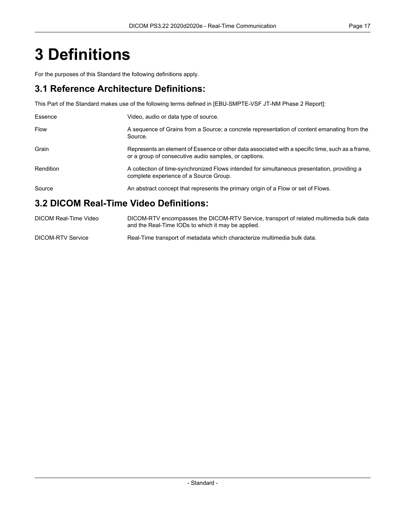# <span id="page-16-0"></span>**3 Definitions**

For the purposes of this Standard the following definitions apply.

#### **3.1 Reference Architecture Definitions:**

This Part of the Standard makes use of the following terms defined in [\[EBU-SMPTE-VSF](#page-14-2) JT-NM Phase 2 Report]:

| Essence                                | Video, audio or data type of source.                                                                                                                      |  |  |  |
|----------------------------------------|-----------------------------------------------------------------------------------------------------------------------------------------------------------|--|--|--|
| <b>Flow</b>                            | A sequence of Grains from a Source; a concrete representation of content emanating from the<br>Source.                                                    |  |  |  |
| Grain                                  | Represents an element of Essence or other data associated with a specific time, such as a frame,<br>or a group of consecutive audio samples, or captions. |  |  |  |
| Rendition                              | A collection of time-synchronized Flows intended for simultaneous presentation, providing a<br>complete experience of a Source Group.                     |  |  |  |
| Source                                 | An abstract concept that represents the primary origin of a Flow or set of Flows.                                                                         |  |  |  |
| 3.2 DICOM Real-Time Video Definitions: |                                                                                                                                                           |  |  |  |

#### DICOM Real-Time Video DICOM-RTV encompasses the DICOM-RTV Service, transport of related multimedia bulk data and the Real-Time IODs to which it may be applied. DICOM-RTV Service Real-Time transport of metadata which characterize multimedia bulk data.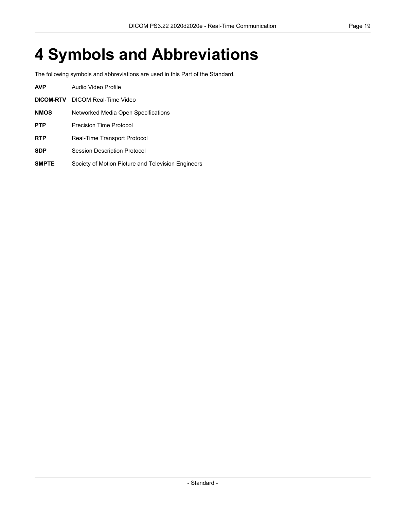# <span id="page-18-0"></span>**4 Symbols and Abbreviations**

The following symbols and abbreviations are used in this Part of the Standard.

| <b>AVP</b>   | Audio Video Profile                                |
|--------------|----------------------------------------------------|
| DICOM-RTV    | DICOM Real-Time Video                              |
| <b>NMOS</b>  | Networked Media Open Specifications                |
| <b>PTP</b>   | Precision Time Protocol                            |
| <b>RTP</b>   | Real-Time Transport Protocol                       |
| <b>SDP</b>   | <b>Session Description Protocol</b>                |
| <b>SMPTE</b> | Society of Motion Picture and Television Engineers |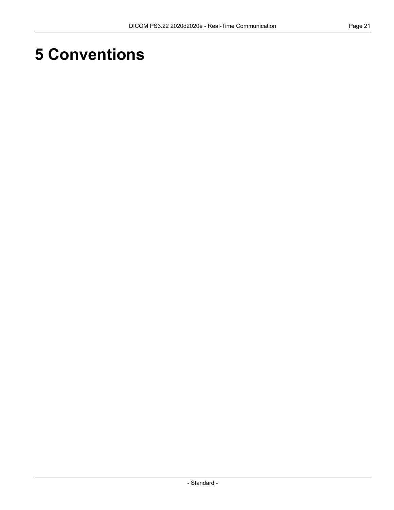# <span id="page-20-0"></span>**5 Conventions**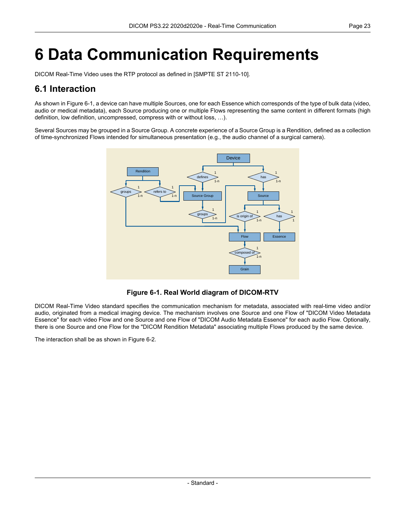# <span id="page-22-0"></span>**6 Data Communication Requirements**

<span id="page-22-1"></span>DICOM Real-Time Video uses the RTP protocol as defined in [SMPTE ST [2110-10\]](#page-14-3).

#### **6.1 Interaction**

As shown in [Figure](#page-22-2) 6-1, a device can have multiple Sources, one for each Essence which corresponds of the type of bulk data (video, audio or medical metadata), each Source producing one or multiple Flows representing the same content in different formats (high definition, low definition, uncompressed, compress with or without loss, …).

<span id="page-22-2"></span>Several Sources may be grouped in a Source Group. A concrete experience of a Source Group is a Rendition, defined as a collection of time-synchronized Flows intended for simultaneous presentation (e.g., the audio channel of a surgical camera).



**Figure 6-1. Real World diagram of DICOM-RTV**

DICOM Real-Time Video standard specifies the communication mechanism for metadata, associated with real-time video and/or audio, originated from a medical imaging device. The mechanism involves one Source and one Flow of "DICOM Video Metadata Essence" for each video Flow and one Source and one Flow of "DICOM Audio Metadata Essence" for each audio Flow. Optionally, there is one Source and one Flow for the "DICOM Rendition Metadata" associating multiple Flows produced by the same device.

The interaction shall be as shown in [Figure](#page-23-2) 6-2.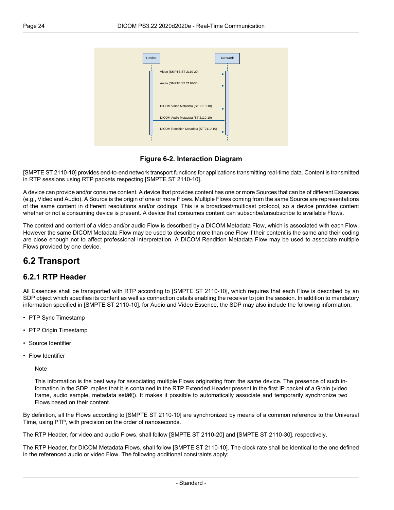<span id="page-23-2"></span>

**Figure 6-2. Interaction Diagram**

[SMPTE ST [2110-10\]](#page-14-3) provides end-to-end network transport functions for applications transmitting real-time data. Content is transmitted in RTP sessions using RTP packets respecting [SMPTE ST [2110-10\].](#page-14-3)

A device can provide and/or consume content. A device that provides content has one or more Sources that can be of different Essences (e.g., Video and Audio). A Source is the origin of one or more Flows. Multiple Flows coming from the same Source are representations of the same content in different resolutions and/or codings. This is a broadcast/multicast protocol, so a device provides content whether or not a consuming device is present. A device that consumes content can subscribe/unsubscribe to available Flows.

<span id="page-23-0"></span>The context and content of a video and/or audio Flow is described by a DICOM Metadata Flow, which is associated with each Flow. However the same DICOM Metadata Flow may be used to describe more than one Flow if their content is the same and their coding are close enough not to affect professional interpretation. A DICOM Rendition Metadata Flow may be used to associate multiple Flows provided by one device.

#### <span id="page-23-1"></span>**6.2 Transport**

#### **6.2.1 RTP Header**

All Essences shall be transported with RTP according to [SMPTE ST [2110-10\],](#page-14-3) which requires that each Flow is described by an SDP object which specifies its content as well as connection details enabling the receiver to join the session. In addition to mandatory information specified in [SMPTE ST [2110-10\],](#page-14-3) for Audio and Video Essence, the SDP may also include the following information:

- PTP Sync Timestamp
- PTP Origin Timestamp
- Source Identifier
- Flow Identifier

Note

This information is the best way for associating multiple Flows originating from the same device. The presence of such in formation in the SDP implies that it is contained in the RTP Extended Header present in the first IP packet of a Grain (video frame, audio sample, metadata setâ $\epsilon$ . It makes it possible to automatically associate and temporarily synchronize two Flows based on their content.

By definition, all the Flows according to [SMPTE ST [2110-10\]](#page-14-3) are synchronized by means of a common reference to the Universal Time, using PTP, with precision on the order of nanoseconds.

The RTP Header, for video and audio Flows, shall follow [SMPTE ST [2110-20\]](#page-14-4) and [SMPTE ST [2110-30\],](#page-14-5) respectively.

The RTP Header, for DICOM Metadata Flows, shall follow [SMPTE ST [2110-10\].](#page-14-3) The clock rate shall be identical to the one defined in the referenced audio or video Flow. The following additional constraints apply: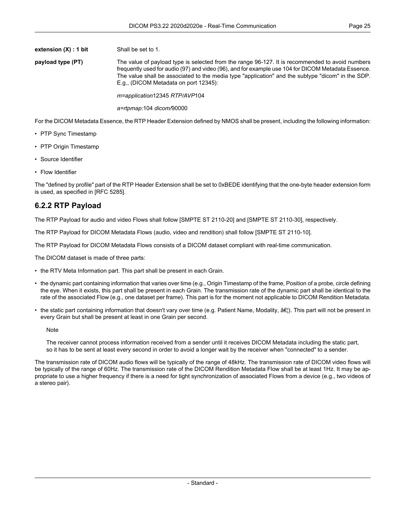**extension** (X) : **1 bit** Shall be set to 1.

**payload type (PT)** The value of payload type is selected from the range 96-127. It is recommended to avoid numbers frequently used for audio (97) and video (96), and for example use 104 for DICOM Metadata Essence. The value shall be associated to the media type "application" and the subtype "dicom" in the SDP. E.g., (DICOM Metadata on port 12345):

*m=application*12345 *RTP/AVP*104

*a=rtpmap:*104 *dicom/*90000

For the DICOM Metadata Essence, the RTP Header Extension defined by NMOS shall be present, including the following information:

- PTP Sync Timestamp
- PTP Origin Timestamp
- Source Identifier
- Flow Identifier

<span id="page-24-0"></span>The "defined by profile" part of the RTP Header Extension shall be set to 0xBEDE identifying that the one-byte header extension form is used, as specified in [RFC [5285\].](#page-14-6)

#### **6.2.2 RTP Payload**

The RTP Payload for audio and video Flows shall follow [SMPTE ST [2110-20\]](#page-14-4) and [SMPTE ST [2110-30\],](#page-14-5) respectively.

The RTP Payload for DICOM Metadata Flows (audio, video and rendition) shall follow [SMPTE ST [2110-10\]](#page-14-3).

The RTP Payload for DICOM Metadata Flows consists of a DICOM dataset compliant with real-time communication.

The DICOM dataset is made of three parts:

- the RTV Meta Information part. This part shall be present in each Grain.
- the dynamic part containing information that varies over time (e.g., Origin Timestamp of the frame, Position of a probe, circle defining the eye. When it exists, this part shall be present in each Grain. The transmission rate of the dynamic part shall be identical to the rate of the associated Flow (e.g., one dataset per frame). This part is for the moment not applicable to DICOM Rendition Metadata.
- the static part containing information that doesn't vary over time (e.g. Patient Name, Modality,  $\hat{a}\epsilon$ ). This part will not be present in every Grain but shall be present at least in one Grain per second.

Note

The receiver cannot process information received from a sender until it receives DICOM Metadata including the static part, so it has to be sent at least every second in order to avoid a longer wait by the receiver when "connected" to a sender.

The transmission rate of DICOM audio flows will be typically of the range of 48kHz. The transmission rate of DICOM video flows will be typically of the range of 60Hz. The transmission rate of the DICOM Rendition Metadata Flow shall be at least 1Hz. It may be ap propriate to use a higher frequency if there is a need for tight synchronization of associated Flows from a device (e.g., two videos of a stereo pair).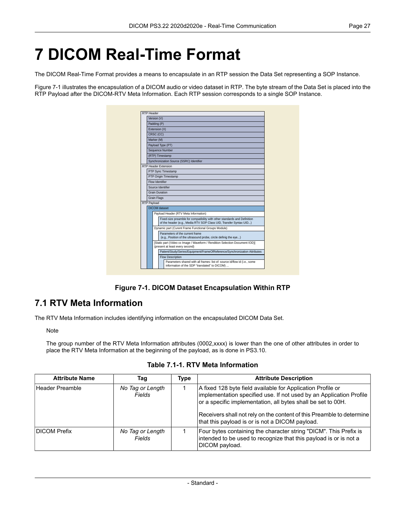## <span id="page-26-0"></span>**7 DICOM Real-Time Format**

The DICOM Real-Time Format provides a means to encapsulate in an RTP session the Data Set representing a SOP Instance.

<span id="page-26-2"></span>[Figure](#page-26-2) 7-1 illustrates the encapsulation of a DICOM audio or video dataset in RTP. The byte stream of the Data Set is placed into the RTP Payload after the DICOM-RTV Meta Information. Each RTP session corresponds to a single SOP Instance.

| RTP Header  |                                                                                                     |                                                                                                                                                 |                                                                                                                            |  |  |  |  |  |
|-------------|-----------------------------------------------------------------------------------------------------|-------------------------------------------------------------------------------------------------------------------------------------------------|----------------------------------------------------------------------------------------------------------------------------|--|--|--|--|--|
|             |                                                                                                     | Version (V)                                                                                                                                     |                                                                                                                            |  |  |  |  |  |
|             | Padding (P)                                                                                         |                                                                                                                                                 |                                                                                                                            |  |  |  |  |  |
|             | Extension (X)                                                                                       |                                                                                                                                                 |                                                                                                                            |  |  |  |  |  |
|             | CRSC (CC)                                                                                           |                                                                                                                                                 |                                                                                                                            |  |  |  |  |  |
|             | Marker (M)                                                                                          |                                                                                                                                                 |                                                                                                                            |  |  |  |  |  |
|             | Payload Type (PT)                                                                                   |                                                                                                                                                 |                                                                                                                            |  |  |  |  |  |
|             |                                                                                                     |                                                                                                                                                 | Sequence Number                                                                                                            |  |  |  |  |  |
|             |                                                                                                     |                                                                                                                                                 | (RTP) Timestamp                                                                                                            |  |  |  |  |  |
|             |                                                                                                     |                                                                                                                                                 | Synchronization Source (SSRC) Identifier                                                                                   |  |  |  |  |  |
|             |                                                                                                     |                                                                                                                                                 | RTP Header Extension                                                                                                       |  |  |  |  |  |
|             |                                                                                                     |                                                                                                                                                 | PTP Sync Timestamp                                                                                                         |  |  |  |  |  |
|             |                                                                                                     |                                                                                                                                                 | PTP Origin Timestamp                                                                                                       |  |  |  |  |  |
|             | Flow Identifier                                                                                     |                                                                                                                                                 |                                                                                                                            |  |  |  |  |  |
|             | Source Identifier                                                                                   |                                                                                                                                                 |                                                                                                                            |  |  |  |  |  |
|             | <b>Grain Duration</b>                                                                               |                                                                                                                                                 |                                                                                                                            |  |  |  |  |  |
|             | <b>Grain Flags</b>                                                                                  |                                                                                                                                                 |                                                                                                                            |  |  |  |  |  |
| RTP Payload |                                                                                                     |                                                                                                                                                 |                                                                                                                            |  |  |  |  |  |
|             | DICOM dataset                                                                                       |                                                                                                                                                 |                                                                                                                            |  |  |  |  |  |
|             |                                                                                                     |                                                                                                                                                 | Payload Header (RTV Meta Information)                                                                                      |  |  |  |  |  |
|             |                                                                                                     | Fixed-size preamble for compatibility with other standards and Definition<br>of the header (e.g., Media RTV SOP Class UID, Transfer Syntax UID) |                                                                                                                            |  |  |  |  |  |
|             | Dynamic part (Curent Frame Functional Groups Module)                                                |                                                                                                                                                 |                                                                                                                            |  |  |  |  |  |
|             | Parameters of the current frame<br>(e.g., Position of the ultrasound probe, circle definig the eye) |                                                                                                                                                 |                                                                                                                            |  |  |  |  |  |
|             |                                                                                                     |                                                                                                                                                 | [Static part (Video xx Image / Waveform / Rendition Selection Document IOD)]<br>(present at least every second)            |  |  |  |  |  |
|             |                                                                                                     | Patient/Study/Series/Equipment/FrameOfReference/Synchronization Attributes                                                                      |                                                                                                                            |  |  |  |  |  |
|             |                                                                                                     |                                                                                                                                                 | Flow Description                                                                                                           |  |  |  |  |  |
|             |                                                                                                     |                                                                                                                                                 | Parameters shared with all frames: list of: source id/flow id (i.e., some<br>information of the SDP "translated" to DICOM) |  |  |  |  |  |

**Figure 7-1. DICOM Dataset Encapsulation Within RTP**

#### <span id="page-26-1"></span>**7.1 RTV Meta Information**

<span id="page-26-3"></span>The RTV Meta Information includes identifying information on the encapsulated DICOM Data Set.

Note

The group number of the RTV Meta Information attributes (0002,xxxx) is lower than the one of other attributes in order to place the RTV Meta Information at the beginning of the payload, as is done in [PS3.10.](part10.pdf#PS3.10)

**Table 7.1-1. RTV Meta Information**

| <b>Attribute Name</b> | Taq                        | Type | <b>Attribute Description</b>                                                                                                                                                                                                                                                                                                   |
|-----------------------|----------------------------|------|--------------------------------------------------------------------------------------------------------------------------------------------------------------------------------------------------------------------------------------------------------------------------------------------------------------------------------|
| Header Preamble       | No Tag or Length<br>Fields |      | A fixed 128 byte field available for Application Profile or<br>implementation specified use. If not used by an Application Profile<br>or a specific implementation, all bytes shall be set to 00H.<br>Receivers shall not rely on the content of this Preamble to determine<br>that this payload is or is not a DICOM payload. |
| <b>DICOM Prefix</b>   | No Tag or Length<br>Fields |      | Four bytes containing the character string "DICM". This Prefix is<br>intended to be used to recognize that this payload is or is not a<br>DICOM payload.                                                                                                                                                                       |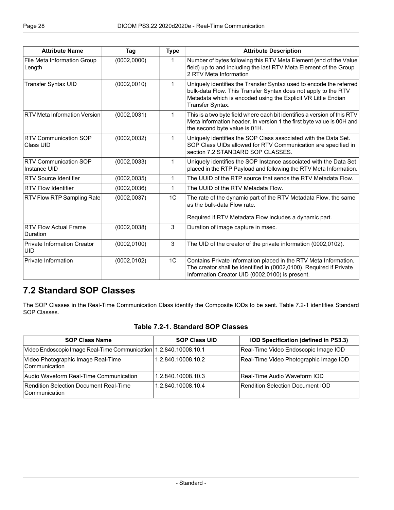| <b>Attribute Name</b>                            | Tag          | <b>Type</b>    | <b>Attribute Description</b>                                                                                                                                                                                               |  |
|--------------------------------------------------|--------------|----------------|----------------------------------------------------------------------------------------------------------------------------------------------------------------------------------------------------------------------------|--|
| File Meta Information Group<br>Length            | (0002, 0000) | $\mathbf 1$    | Number of bytes following this RTV Meta Element (end of the Value<br>field) up to and including the last RTV Meta Element of the Group<br>2 RTV Meta Information                                                           |  |
| <b>Transfer Syntax UID</b>                       | (0002, 0010) | 1              | Uniquely identifies the Transfer Syntax used to encode the referred<br>bulk-data Flow. This Transfer Syntax does not apply to the RTV<br>Metadata which is encoded using the Explicit VR Little Endian<br>Transfer Syntax. |  |
| <b>RTV Meta Information Version</b>              | (0002, 0031) | $\mathbf{1}$   | This is a two byte field where each bit identifies a version of this RTV<br>Meta Information header. In version 1 the first byte value is 00H and<br>the second byte value is 01H.                                         |  |
| <b>RTV Communication SOP</b><br>Class UID        | (0002, 0032) | $\mathbf{1}$   | Uniquely identifies the SOP Class associated with the Data Set.<br>SOP Class UIDs allowed for RTV Communication are specified in<br>section 7.2 STANDARD SOP CLASSES.                                                      |  |
| <b>RTV Communication SOP</b><br>Instance UID     | (0002, 0033) | $\mathbf{1}$   | Uniquely identifies the SOP Instance associated with the Data Set<br>placed in the RTP Payload and following the RTV Meta Information.                                                                                     |  |
| <b>RTV Source Identifier</b>                     | (0002, 0035) | $\mathbf 1$    | The UUID of the RTP source that sends the RTV Metadata Flow.                                                                                                                                                               |  |
| <b>RTV Flow Identifier</b>                       | (0002, 0036) | 1              | The UUID of the RTV Metadata Flow.                                                                                                                                                                                         |  |
| RTV Flow RTP Sampling Rate                       | (0002, 0037) | 1 <sup>C</sup> | The rate of the dynamic part of the RTV Metadata Flow, the same<br>as the bulk-data Flow rate.<br>Required if RTV Metadata Flow includes a dynamic part.                                                                   |  |
| <b>RTV Flow Actual Frame</b><br>Duration         | (0002, 0038) | 3              | Duration of image capture in msec.                                                                                                                                                                                         |  |
| <b>Private Information Creator</b><br><b>UID</b> | (0002, 0100) | 3              | The UID of the creator of the private information (0002,0102).                                                                                                                                                             |  |
| Private Information                              | (0002, 0102) | 1 <sup>C</sup> | Contains Private Information placed in the RTV Meta Information.<br>The creator shall be identified in (0002,0100). Required if Private<br>Information Creator UID (0002,0100) is present.                                 |  |

#### <span id="page-27-1"></span><span id="page-27-0"></span>**7.2 Standard SOP Classes**

The SOP Classes in the Real-Time Communication Class identify the Composite IODs to be sent. [Table](#page-27-1) 7.2-1 identifies Standard SOP Classes.

#### **Table 7.2-1. Standard SOP Classes**

| <b>SOP Class Name</b>                                               | <b>SOP Class UID</b> | IOD Specification (defined in PS3.3)   |
|---------------------------------------------------------------------|----------------------|----------------------------------------|
| Video Endoscopic Image Real-Time Communication   1.2.840.10008.10.1 |                      | Real-Time Video Endoscopic Image IOD   |
| Video Photographic Image Real-Time<br>l Communication               | 1.2.840.10008.10.2   | Real-Time Video Photographic Image IOD |
| Audio Waveform Real-Time Communication                              | 1.2.840.10008.10.3   | Real-Time Audio Waveform IOD           |
| Rendition Selection Document Real-Time<br>l Communication           | 1.2.840.10008.10.4   | Rendition Selection Document IOD       |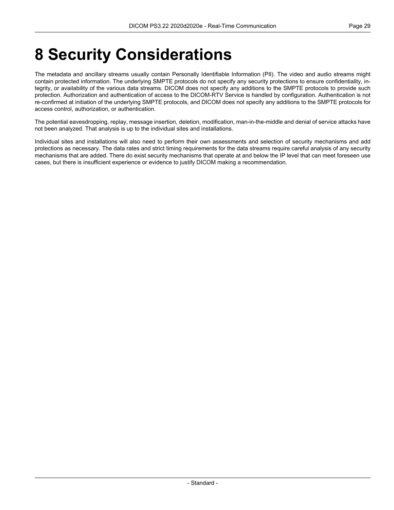## <span id="page-28-0"></span>**8 Security Considerations**

The metadata and ancillary streams usually contain Personally Identifiable Information (PII). The video and audio streams might contain protected information. The underlying SMPTE protocols do not specify any security protections to ensure confidentiality, in tegrity, or availability of the various data streams. DICOM does not specify any additions to the SMPTE protocols to provide such protection. Authorization and authentication of access to the DICOM-RTV Service is handled by configuration. Authentication is not re-confirmed at initiation of the underlying SMPTE protocols, and DICOM does not specify any additions to the SMPTE protocols for access control, authorization, or authentication.

The potential eavesdropping, replay, message insertion, deletion, modification, man-in-the-middle and denial of service attacks have not been analyzed. That analysis is up to the individual sites and installations.

Individual sites and installations will also need to perform their own assessments and selection of security mechanisms and add protections as necessary. The data rates and strict timing requirements for the data streams require careful analysis of any security mechanisms that are added. There do exist security mechanisms that operate at and below the IP level that can meet foreseen use cases, but there is insufficient experience or evidence to justify DICOM making a recommendation.